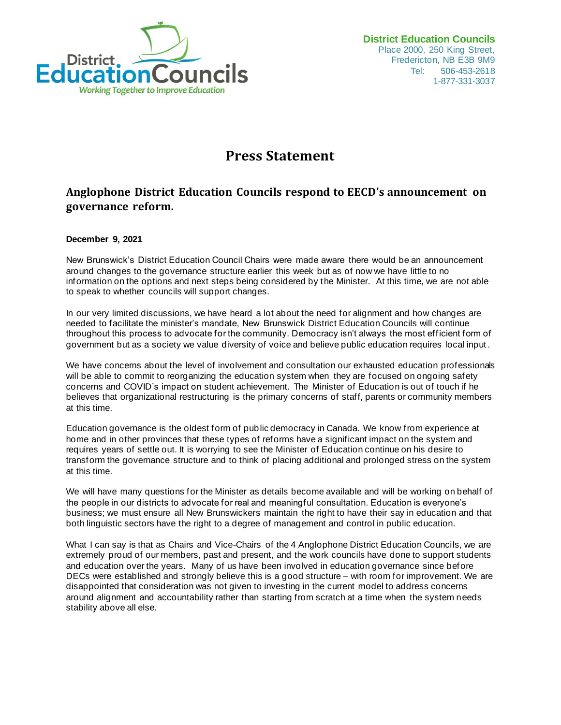

## **Press Statement**

## **Anglophone District Education Councils respond to EECD's announcement on governance reform.**

## **December 9, 2021**

New Brunswick's District Education Council Chairs were made aware there would be an announcement around changes to the governance structure earlier this week but as of now we have little to no information on the options and next steps being considered by the Minister. At this time, we are not able to speak to whether councils will support changes.

In our very limited discussions, we have heard a lot about the need for alignment and how changes are needed to facilitate the minister's mandate, New Brunswick District Education Councils will continue throughout this process to advocate for the community. Democracy isn't always the most efficient form of government but as a society we value diversity of voice and believe public education requires local input .

We have concerns about the level of involvement and consultation our exhausted education professionals will be able to commit to reorganizing the education system when they are focused on ongoing safety concerns and COVID's impact on student achievement. The Minister of Education is out of touch if he believes that organizational restructuring is the primary concerns of staff, parents or community members at this time.

Education governance is the oldest form of public democracy in Canada. We know from experience at home and in other provinces that these types of reforms have a significant impact on the system and requires years of settle out. It is worrying to see the Minister of Education continue on his desire to transform the governance structure and to think of placing additional and prolonged stress on the system at this time.

We will have many questions for the Minister as details become available and will be working on behalf of the people in our districts to advocate for real and meaningful consultation. Education is everyone's business; we must ensure all New Brunswickers maintain the right to have their say in education and that both linguistic sectors have the right to a degree of management and control in public education.

What I can say is that as Chairs and Vice-Chairs of the 4 Anglophone District Education Councils, we are extremely proud of our members, past and present, and the work councils have done to support students and education over the years. Many of us have been involved in education governance since before DECs were established and strongly believe this is a good structure – with room for improvement. We are disappointed that consideration was not given to investing in the current model to address concerns around alignment and accountability rather than starting from scratch at a time when the system needs stability above all else.